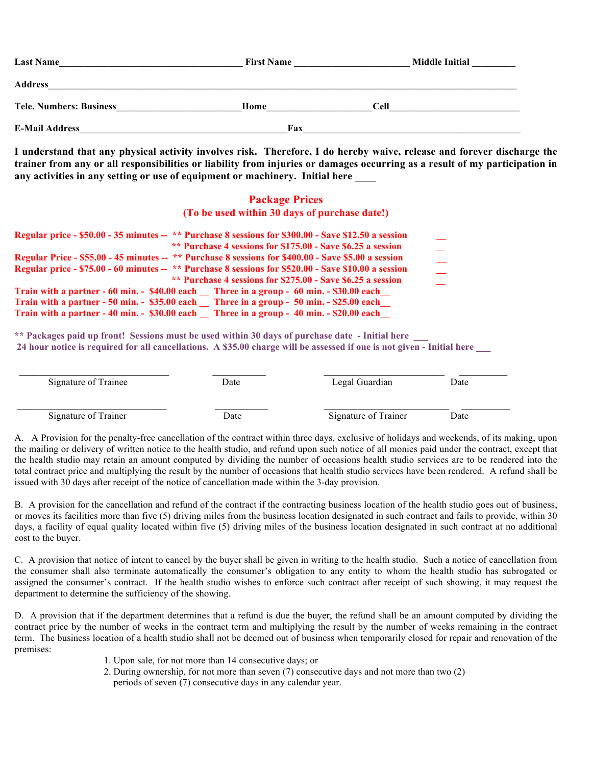| <b>Last Name</b>               | <b>First Name</b> | <b>Middle Initial</b> |  |  |
|--------------------------------|-------------------|-----------------------|--|--|
| <b>Address</b>                 |                   |                       |  |  |
| <b>Tele. Numbers: Business</b> | Home              | <b>Cell</b>           |  |  |
| <b>E-Mail Address</b>          | Fax               |                       |  |  |

**I understand that any physical activity involves risk. Therefore, I do hereby waive, release and forever discharge the trainer from any or all responsibilities or liability from injuries or damages occurring as a result of my participation in**  any activities in any setting or use of equipment or machinery. Initial here

## **Package Prices (To be used within 30 days of purchase date!)**

| Regular price - \$50.00 - 35 minutes -- ** Purchase 8 sessions for \$300.00 - Save \$12.50 a session |  |
|------------------------------------------------------------------------------------------------------|--|
| ** Purchase 4 sessions for \$175.00 - Save \$6.25 a session                                          |  |
| Regular Price - \$55.00 - 45 minutes -- ** Purchase 8 sessions for \$400.00 - Save \$5.00 a session  |  |
| Regular price - \$75.00 - 60 minutes -- ** Purchase 8 sessions for \$520.00 - Save \$10.00 a session |  |
| ** Purchase 4 sessions for \$275.00 - Save \$6.25 a session                                          |  |
| Train with a partner - 60 min. - \$40.00 each Three in a group - 60 min. - \$30.00 each              |  |
| Train with a partner - 50 min. - \$35.00 each Three in a group - 50 min. - \$25.00 each              |  |
| Train with a partner - 40 min. - \$30.00 each Three in a group - 40 min. - \$20.00 each              |  |

\*\* Packages paid up front! Sessions must be used within 30 days of purchase date - Initial here **24 hour notice is required for all cancellations. A \$35.00 charge will be assessed if one is not given - Initial here \_\_\_**

| Signature of Trainee | Date | Legal Guardian       | Date |  |
|----------------------|------|----------------------|------|--|
| Signature of Trainer | Date | Signature of Trainer | Date |  |

A. A Provision for the penalty-free cancellation of the contract within three days, exclusive of holidays and weekends, of its making, upon the mailing or delivery of written notice to the health studio, and refund upon such notice of all monies paid under the contract, except that the health studio may retain an amount computed by dividing the number of occasions health studio services are to be rendered into the total contract price and multiplying the result by the number of occasions that health studio services have been rendered. A refund shall be issued with 30 days after receipt of the notice of cancellation made within the 3-day provision.

B. A provision for the cancellation and refund of the contract if the contracting business location of the health studio goes out of business, or moves its facilities more than five (5) driving miles from the business location designated in such contract and fails to provide, within 30 days, a facility of equal quality located within five (5) driving miles of the business location designated in such contract at no additional cost to the buyer.

C. A provision that notice of intent to cancel by the buyer shall be given in writing to the health studio. Such a notice of cancellation from the consumer shall also terminate automatically the consumer's obligation to any entity to whom the health studio has subrogated or assigned the consumer's contract. If the health studio wishes to enforce such contract after receipt of such showing, it may request the department to determine the sufficiency of the showing.

D. A provision that if the department determines that a refund is due the buyer, the refund shall be an amount computed by dividing the contract price by the number of weeks in the contract term and multiplying the result by the number of weeks remaining in the contract term. The business location of a health studio shall not be deemed out of business when temporarily closed for repair and renovation of the premises:

- 1. Upon sale, for not more than 14 consecutive days; or
- 2. During ownership, for not more than seven (7) consecutive days and not more than two (2) periods of seven (7) consecutive days in any calendar year.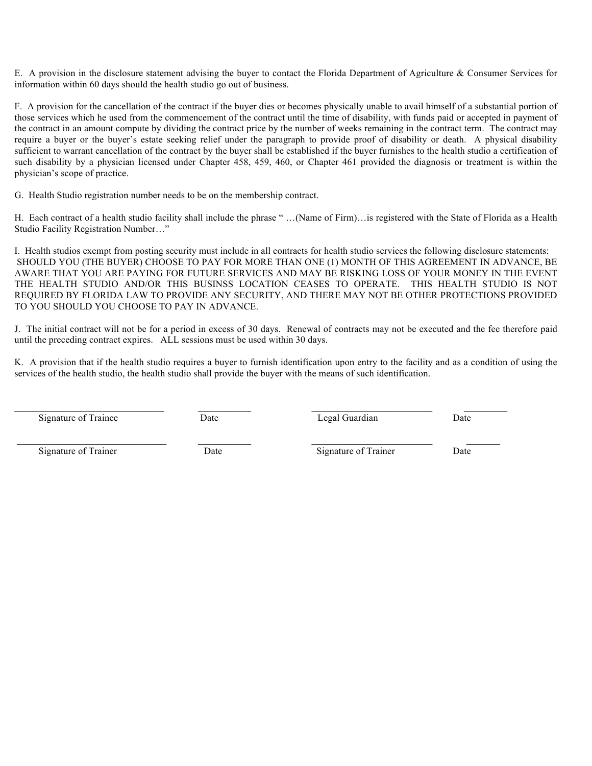E. A provision in the disclosure statement advising the buyer to contact the Florida Department of Agriculture & Consumer Services for information within 60 days should the health studio go out of business.

F. A provision for the cancellation of the contract if the buyer dies or becomes physically unable to avail himself of a substantial portion of those services which he used from the commencement of the contract until the time of disability, with funds paid or accepted in payment of the contract in an amount compute by dividing the contract price by the number of weeks remaining in the contract term. The contract may require a buyer or the buyer's estate seeking relief under the paragraph to provide proof of disability or death. A physical disability sufficient to warrant cancellation of the contract by the buyer shall be established if the buyer furnishes to the health studio a certification of such disability by a physician licensed under Chapter 458, 459, 460, or Chapter 461 provided the diagnosis or treatment is within the physician's scope of practice.

G. Health Studio registration number needs to be on the membership contract.

H. Each contract of a health studio facility shall include the phrase " …(Name of Firm)…is registered with the State of Florida as a Health Studio Facility Registration Number…"

I. Health studios exempt from posting security must include in all contracts for health studio services the following disclosure statements: SHOULD YOU (THE BUYER) CHOOSE TO PAY FOR MORE THAN ONE (1) MONTH OF THIS AGREEMENT IN ADVANCE, BE AWARE THAT YOU ARE PAYING FOR FUTURE SERVICES AND MAY BE RISKING LOSS OF YOUR MONEY IN THE EVENT THE HEALTH STUDIO AND/OR THIS BUSINSS LOCATION CEASES TO OPERATE. THIS HEALTH STUDIO IS NOT REQUIRED BY FLORIDA LAW TO PROVIDE ANY SECURITY, AND THERE MAY NOT BE OTHER PROTECTIONS PROVIDED TO YOU SHOULD YOU CHOOSE TO PAY IN ADVANCE.

J. The initial contract will not be for a period in excess of 30 days. Renewal of contracts may not be executed and the fee therefore paid until the preceding contract expires. ALL sessions must be used within 30 days.

K. A provision that if the health studio requires a buyer to furnish identification upon entry to the facility and as a condition of using the services of the health studio, the health studio shall provide the buyer with the means of such identification.

Signature of Trainee **Date** Date **Date** Legal Guardian Date Date

Signature of Trainer **Date Date** Signature of Trainer **Date Date Date Signature of Trainer Date** 

 $\_$  , and the set of the set of the set of the set of the set of the set of the set of the set of the set of the set of the set of the set of the set of the set of the set of the set of the set of the set of the set of th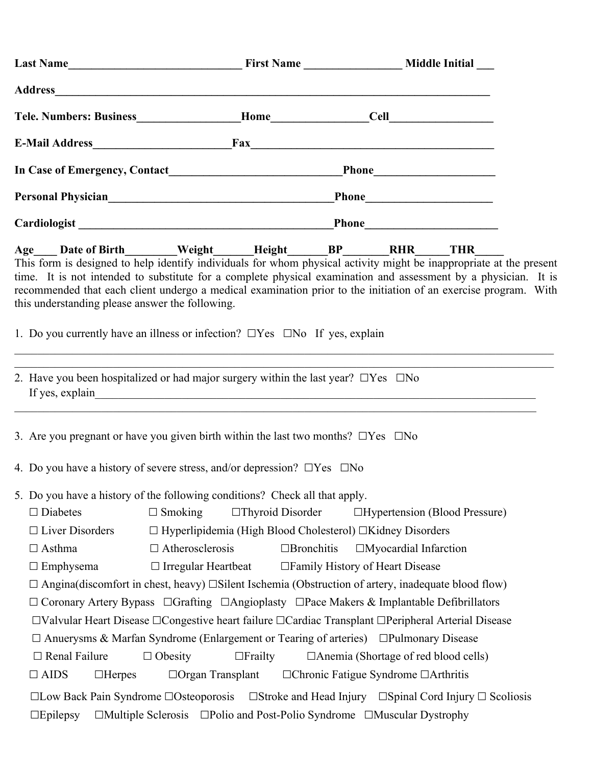| Tele. Numbers: Business__________________Home_________________Cell_______________                                                                                                                                                                                                                                                                                                                                                                                                              |                                                                                          |                                             |                              |                                                                                                                       |  |
|------------------------------------------------------------------------------------------------------------------------------------------------------------------------------------------------------------------------------------------------------------------------------------------------------------------------------------------------------------------------------------------------------------------------------------------------------------------------------------------------|------------------------------------------------------------------------------------------|---------------------------------------------|------------------------------|-----------------------------------------------------------------------------------------------------------------------|--|
| E-Mail Address Fax Fax                                                                                                                                                                                                                                                                                                                                                                                                                                                                         |                                                                                          |                                             |                              |                                                                                                                       |  |
|                                                                                                                                                                                                                                                                                                                                                                                                                                                                                                |                                                                                          |                                             |                              |                                                                                                                       |  |
|                                                                                                                                                                                                                                                                                                                                                                                                                                                                                                |                                                                                          |                                             |                              |                                                                                                                       |  |
|                                                                                                                                                                                                                                                                                                                                                                                                                                                                                                |                                                                                          |                                             |                              |                                                                                                                       |  |
| Age___ Date of Birth_______Weight______Height_______BP_______RHR_____THR______<br>This form is designed to help identify individuals for whom physical activity might be inappropriate at the present<br>time. It is not intended to substitute for a complete physical examination and assessment by a physician. It is<br>recommended that each client undergo a medical examination prior to the initiation of an exercise program. With<br>this understanding please answer the following. |                                                                                          |                                             |                              |                                                                                                                       |  |
| 1. Do you currently have an illness or infection? $\Box$ Yes $\Box$ No If yes, explain                                                                                                                                                                                                                                                                                                                                                                                                         |                                                                                          |                                             |                              | <u> 1989 - Johann Barn, amerikan berkema dalam penyanyi dan berkema dalam pengaran berkema dalam pengaran berkema</u> |  |
| 2. Have you been hospitalized or had major surgery within the last year? $\Box$ Yes $\Box$ No                                                                                                                                                                                                                                                                                                                                                                                                  |                                                                                          |                                             |                              |                                                                                                                       |  |
| 3. Are you pregnant or have you given birth within the last two months? $\Box$ Yes $\Box$ No                                                                                                                                                                                                                                                                                                                                                                                                   |                                                                                          |                                             |                              |                                                                                                                       |  |
| 4. Do you have a history of severe stress, and/or depression? $\Box$ Yes $\Box$ No                                                                                                                                                                                                                                                                                                                                                                                                             |                                                                                          |                                             |                              |                                                                                                                       |  |
| 5. Do you have a history of the following conditions? Check all that apply.<br>$\Box$ Diabetes                                                                                                                                                                                                                                                                                                                                                                                                 | $\Box$ Smoking<br>$\Box$ Thyroid Disorder                                                |                                             |                              | $\Box$ Hypertension (Blood Pressure)                                                                                  |  |
| $\Box$ Liver Disorders                                                                                                                                                                                                                                                                                                                                                                                                                                                                         | $\Box$ Hyperlipidemia (High Blood Cholesterol) $\Box$ Kidney Disorders                   |                                             |                              |                                                                                                                       |  |
| $\Box$ Asthma                                                                                                                                                                                                                                                                                                                                                                                                                                                                                  | $\Box$ Atherosclerosis                                                                   | $\Box$ Bronchitis                           | $\Box$ Myocardial Infarction |                                                                                                                       |  |
| $\Box$ Emphysema                                                                                                                                                                                                                                                                                                                                                                                                                                                                               | $\Box$ Irregular Heartbeat                                                               | □ Family History of Heart Disease           |                              |                                                                                                                       |  |
| $\Box$ Angina(discomfort in chest, heavy) $\Box$ Silent Ischemia (Obstruction of artery, inadequate blood flow)<br>$\Box$ Coronary Artery Bypass $\Box$ Grafting $\Box$ Angioplasty $\Box$ Pace Makers & Implantable Defibrillators                                                                                                                                                                                                                                                            |                                                                                          |                                             |                              |                                                                                                                       |  |
| □Valvular Heart Disease □Congestive heart failure □Cardiac Transplant □Peripheral Arterial Disease                                                                                                                                                                                                                                                                                                                                                                                             |                                                                                          |                                             |                              |                                                                                                                       |  |
| $\Box$ Anuerysms & Marfan Syndrome (Enlargement or Tearing of arteries) $\Box$ Pulmonary Disease                                                                                                                                                                                                                                                                                                                                                                                               |                                                                                          |                                             |                              |                                                                                                                       |  |
| $\Box$ Renal Failure<br>$\Box$ Obesity                                                                                                                                                                                                                                                                                                                                                                                                                                                         | $\Box$ Frailty                                                                           | $\Box$ Anemia (Shortage of red blood cells) |                              |                                                                                                                       |  |
| $\Box$ AIDS<br>$\Box$ Herpes                                                                                                                                                                                                                                                                                                                                                                                                                                                                   | $\Box$ Organ Transplant                                                                  | □ Chronic Fatigue Syndrome □ Arthritis      |                              |                                                                                                                       |  |
| $\Box$ Low Back Pain Syndrome $\Box$ Osteoporosis<br>$\square$ Epilepsy                                                                                                                                                                                                                                                                                                                                                                                                                        | $\Box$ Multiple Sclerosis $\Box$ Polio and Post-Polio Syndrome $\Box$ Muscular Dystrophy |                                             |                              | $\Box$ Stroke and Head Injury $\Box$ Spinal Cord Injury $\Box$ Scoliosis                                              |  |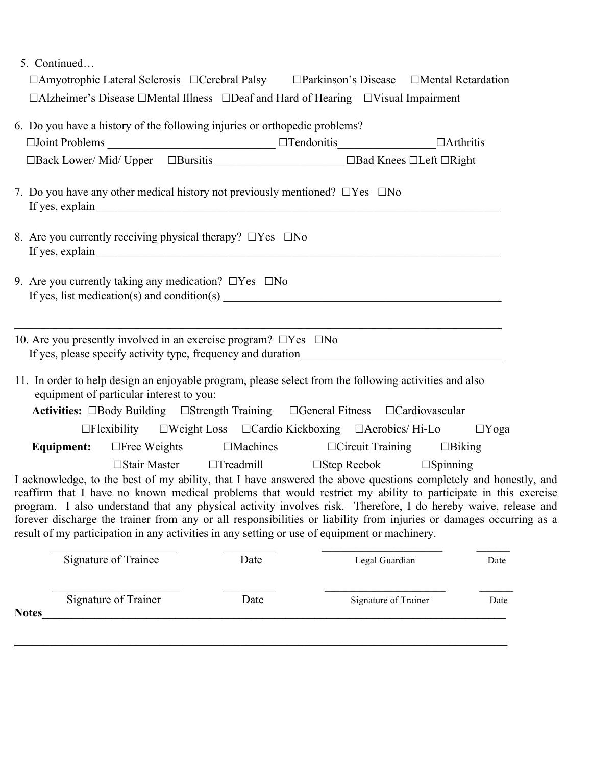5. Continued…

| □Amyotrophic Lateral Sclerosis □Cerebral Palsy □Parkinson's Disease □Mental Retardation                                                                                                                                                                                                                                                                                                                                                                                                                                                                                                                                                               |  |  |
|-------------------------------------------------------------------------------------------------------------------------------------------------------------------------------------------------------------------------------------------------------------------------------------------------------------------------------------------------------------------------------------------------------------------------------------------------------------------------------------------------------------------------------------------------------------------------------------------------------------------------------------------------------|--|--|
| $\Box$ Alzheimer's Disease $\Box$ Mental Illness $\Box$ Deaf and Hard of Hearing $\Box$ Visual Impairment                                                                                                                                                                                                                                                                                                                                                                                                                                                                                                                                             |  |  |
| 6. Do you have a history of the following injuries or orthopedic problems?<br>$\Box$ Joint Problems $\Box$ Tendonitis $\Box$ $\Box$ Arthritis                                                                                                                                                                                                                                                                                                                                                                                                                                                                                                         |  |  |
| 7. Do you have any other medical history not previously mentioned? $\Box$ Yes $\Box$ No                                                                                                                                                                                                                                                                                                                                                                                                                                                                                                                                                               |  |  |
| 8. Are you currently receiving physical therapy? $\Box$ Yes $\Box$ No                                                                                                                                                                                                                                                                                                                                                                                                                                                                                                                                                                                 |  |  |
| 9. Are you currently taking any medication? $\Box$ Yes $\Box$ No<br>If yes, list medication(s) and condition(s) $\frac{1}{\sqrt{1-\frac{1}{n}}\sqrt{1-\frac{1}{n}}\sqrt{1-\frac{1}{n}}}}$                                                                                                                                                                                                                                                                                                                                                                                                                                                             |  |  |
| 10. Are you presently involved in an exercise program? $\Box$ Yes $\Box$ No                                                                                                                                                                                                                                                                                                                                                                                                                                                                                                                                                                           |  |  |
| 11. In order to help design an enjoyable program, please select from the following activities and also<br>equipment of particular interest to you:<br>Activities: □Body Building □Strength Training □General Fitness □Cardiovascular                                                                                                                                                                                                                                                                                                                                                                                                                  |  |  |
| $\Box$ Flexibility $\Box$ Weight Loss $\Box$ Cardio Kickboxing $\Box$ Aerobics/Hi-Lo $\Box$ Yoga                                                                                                                                                                                                                                                                                                                                                                                                                                                                                                                                                      |  |  |
| <b>Equipment:</b> □Free Weights □Machines □Circuit Training □Biking                                                                                                                                                                                                                                                                                                                                                                                                                                                                                                                                                                                   |  |  |
| $\Box$ Stair Master $\Box$ Treadmill $\Box$ Step Reebok $\Box$ Spinning<br>I acknowledge, to the best of my ability, that I have answered the above questions completely and honestly, and<br>reaffirm that I have no known medical problems that would restrict my ability to participate in this exercise<br>program. I also understand that any physical activity involves risk. Therefore, I do hereby waive, release and<br>forever discharge the trainer from any or all responsibilities or liability from injuries or damages occurring as a<br>result of my participation in any activities in any setting or use of equipment or machinery. |  |  |

|              | Signature of Trainee | Date | Legal Guardian       | Date |
|--------------|----------------------|------|----------------------|------|
| <b>Notes</b> | Signature of Trainer | Date | Signature of Trainer | Date |
|              |                      |      |                      |      |